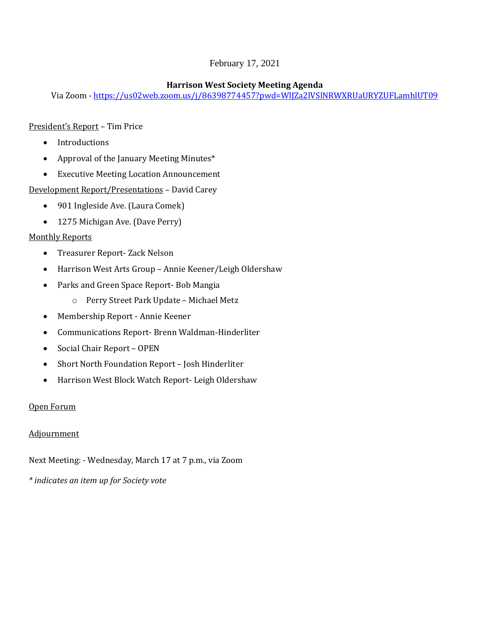# February 17, 2021

#### **Harrison West Society Meeting Agenda**

Via Zoom - <https://us02web.zoom.us/j/86398774457?pwd=WlJZa2lVSlNRWXRUaURYZUFLamhlUT09>

## President's Report – Tim Price

- Introductions
- Approval of the January Meeting Minutes\*
- Executive Meeting Location Announcement

Development Report/Presentations – David Carey

- 901 Ingleside Ave. (Laura Comek)
- 1275 Michigan Ave. (Dave Perry)

## Monthly Reports

- Treasurer Report- Zack Nelson
- Harrison West Arts Group Annie Keener/Leigh Oldershaw
- Parks and Green Space Report- Bob Mangia
	- o Perry Street Park Update Michael Metz
- Membership Report Annie Keener
- Communications Report- Brenn Waldman-Hinderliter
- Social Chair Report OPEN
- Short North Foundation Report Josh Hinderliter
- Harrison West Block Watch Report- Leigh Oldershaw

# Open Forum

# Adjournment

Next Meeting: - Wednesday, March 17 at 7 p.m., via Zoom

*\* indicates an item up for Society vote*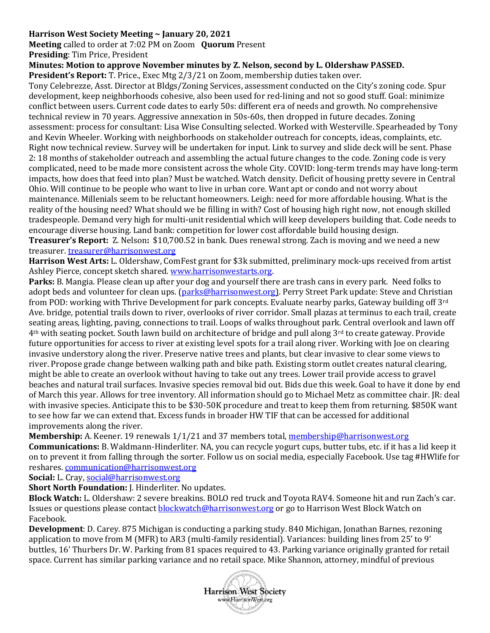## **Harrison West Society Meeting ~ January 20, 2021**

**Meeting** called to order at 7:02 PM on Zoom **Quorum** Present

**Presiding**: Tim Price, President

#### **Minutes: Motion to approve November minutes by Z. Nelson, second by L. Oldershaw PASSED.**

**President's Report:** T. Price., Exec Mtg 2/3/21 on Zoom, membership duties taken over.

Tony Celebrezze, Asst. Director at Bldgs/Zoning Services, assessment conducted on the City's zoning code. Spur development, keep neighborhoods cohesive, also been used for red-lining and not so good stuff. Goal: minimize conflict between users. Current code dates to early 50s: different era of needs and growth. No comprehensive technical review in 70 years. Aggressive annexation in 50s-60s, then dropped in future decades. Zoning assessment: process for consultant: Lisa Wise Consulting selected. Worked with Westerville. Spearheaded by Tony and Kevin Wheeler. Working with neighborhoods on stakeholder outreach for concepts, ideas, complaints, etc. Right now technical review. Survey will be undertaken for input. Link to survey and slide deck will be sent. Phase 2: 18 months of stakeholder outreach and assembling the actual future changes to the code. Zoning code is very complicated, need to be made more consistent across the whole City. COVID: long-term trends may have long-term impacts, how does that feed into plan? Must be watched. Watch density. Deficit of housing pretty severe in Central Ohio. Will continue to be people who want to live in urban core. Want apt or condo and not worry about maintenance. Millenials seem to be reluctant homeowners. Leigh: need for more affordable housing. What is the reality of the housing need? What should we be filling in with? Cost of housing high right now, not enough skilled tradespeople. Demand very high for multi-unit residential which will keep developers building that. Code needs to encourage diverse housing. Land bank: competition for lower cost affordable build housing design. **Treasurer's Report:** Z. Nelson**:** \$10,700.52 in bank. Dues renewal strong. Zach is moving and we need a new

# treasurer. [treasurer@harrisonwest.org](mailto:treasurer@harrisonwest.org)

**Harrison West Arts:** L. Oldershaw, ComFest grant for \$3k submitted, preliminary mock-ups received from artist Ashley Pierce, concept sketch shared. [www.harrisonwestarts.org.](http://www.harrisonwestarts.org/)

**Parks:** B. Mangia. Please clean up after your dog and yourself there are trash cans in every park. Need folks to adopt beds and volunteer for clean ups. [\(parks@harrisonwest.org\)](mailto:parks@harrisonwest.org). Perry Street Park update: Steve and Christian from POD: working with Thrive Development for park concepts. Evaluate nearby parks, Gateway building off 3rd Ave. bridge, potential trails down to river, overlooks of river corridor. Small plazas at terminus to each trail, create seating areas, lighting, paving, connections to trail. Loops of walks throughout park. Central overlook and lawn off 4th with seating pocket. South lawn build on architecture of bridge and pull along 3rd to create gateway. Provide future opportunities for access to river at existing level spots for a trail along river. Working with Joe on clearing invasive understory along the river. Preserve native trees and plants, but clear invasive to clear some views to river. Propose grade change between walking path and bike path. Existing storm outlet creates natural clearing, might be able to create an overlook without having to take out any trees. Lower trail provide access to gravel beaches and natural trail surfaces. Invasive species removal bid out. Bids due this week. Goal to have it done by end of March this year. Allows for tree inventory. All information should go to Michael Metz as committee chair. JR: deal with invasive species. Anticipate this to be \$30-50K procedure and treat to keep them from returning. \$850K want to see how far we can extend that. Excess funds in broader HW TIF that can be accessed for additional improvements along the river.

**Membership:** A. Keener. 19 renewals  $1/1/21$  and 37 members total[, membership@harrisonwest.org](mailto:membership@harrisonwest.org) **Communications:** B. Waldmann-Hinderliter. NA, you can recycle yogurt cups, butter tubs, etc. if it has a lid keep it on to prevent it from falling through the sorter. Follow us on social media, especially Facebook. Use tag #HWlife for reshares[. communication@harrisonwest.org](mailto:communication@harrisonwest.org)

Social: L. Cray, [social@harrisonwest.org](mailto:social@harrisonwest.org)

**Short North Foundation:** J. Hinderliter. No updates.

**Block Watch:** L. Oldershaw: 2 severe breakins. BOLO red truck and Toyota RAV4. Someone hit and run Zach's car. Issues or questions please contact [blockwatch@harrisonwest.org](mailto:blockwatch@harrisonwest.org) or go to Harrison West Block Watch on Facebook.

**Development**: D. Carey. 875 Michigan is conducting a parking study. 840 Michigan, Jonathan Barnes, rezoning application to move from M (MFR) to AR3 (multi-family residential). Variances: building lines from 25' to 9' buttles, 16' Thurbers Dr. W. Parking from 81 spaces required to 43. Parking variance originally granted for retail space. Current has similar parking variance and no retail space. Mike Shannon, attorney, mindful of previous